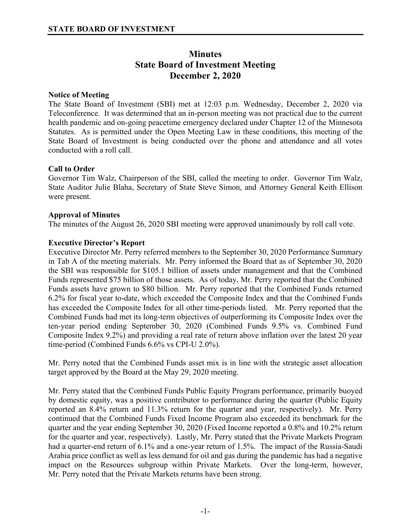# **Minutes State Board of Investment Meeting December 2, 2020**

# **Notice of Meeting**

The State Board of Investment (SBI) met at 12:03 p.m. Wednesday, December 2, 2020 via Teleconference. It was determined that an in-person meeting was not practical due to the current health pandemic and on-going peacetime emergency declared under Chapter 12 of the Minnesota Statutes. As is permitted under the Open Meeting Law in these conditions, this meeting of the State Board of Investment is being conducted over the phone and attendance and all votes conducted with a roll call.

# **Call to Order**

Governor Tim Walz, Chairperson of the SBI, called the meeting to order. Governor Tim Walz, State Auditor Julie Blaha, Secretary of State Steve Simon, and Attorney General Keith Ellison were present.

# **Approval of Minutes**

The minutes of the August 26, 2020 SBI meeting were approved unanimously by roll call vote.

# **Executive Director's Report**

Executive Director Mr. Perry referred members to the September 30, 2020 Performance Summary in Tab A of the meeting materials. Mr. Perry informed the Board that as of September 30, 2020 the SBI was responsible for \$105.1 billion of assets under management and that the Combined Funds represented \$75 billion of those assets. As of today, Mr. Perry reported that the Combined Funds assets have grown to \$80 billion. Mr. Perry reported that the Combined Funds returned 6.2% for fiscal year to-date, which exceeded the Composite Index and that the Combined Funds has exceeded the Composite Index for all other time-periods listed. Mr. Perry reported that the Combined Funds had met its long-term objectives of outperforming its Composite Index over the ten-year period ending September 30, 2020 (Combined Funds 9.5% vs. Combined Fund Composite Index 9.2%) and providing a real rate of return above inflation over the latest 20 year time-period (Combined Funds 6.6% vs CPI-U 2.0%).

Mr. Perry noted that the Combined Funds asset mix is in line with the strategic asset allocation target approved by the Board at the May 29, 2020 meeting.

Mr. Perry stated that the Combined Funds Public Equity Program performance, primarily buoyed by domestic equity, was a positive contributor to performance during the quarter (Public Equity reported an 8.4% return and 11.3% return for the quarter and year, respectively). Mr. Perry continued that the Combined Funds Fixed Income Program also exceeded its benchmark for the quarter and the year ending September 30, 2020 (Fixed Income reported a 0.8% and 10.2% return for the quarter and year, respectively). Lastly, Mr. Perry stated that the Private Markets Program had a quarter-end return of 6.1% and a one-year return of 1.5%. The impact of the Russia-Saudi Arabia price conflict as well as less demand for oil and gas during the pandemic has had a negative impact on the Resources subgroup within Private Markets. Over the long-term, however, Mr. Perry noted that the Private Markets returns have been strong.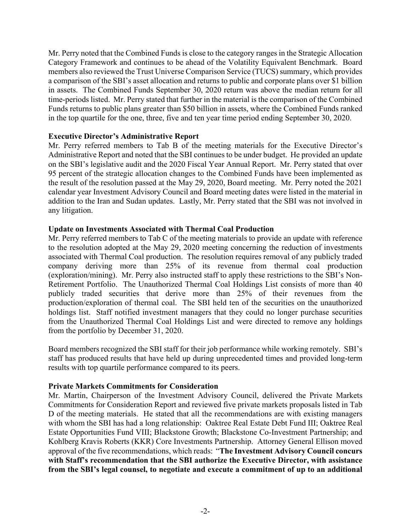Mr. Perry noted that the Combined Funds is close to the category ranges in the Strategic Allocation Category Framework and continues to be ahead of the Volatility Equivalent Benchmark. Board members also reviewed the Trust Universe Comparison Service (TUCS) summary, which provides a comparison of the SBI's asset allocation and returns to public and corporate plans over \$1 billion in assets. The Combined Funds September 30, 2020 return was above the median return for all time-periods listed. Mr. Perry stated that further in the material is the comparison of the Combined Funds returns to public plans greater than \$50 billion in assets, where the Combined Funds ranked in the top quartile for the one, three, five and ten year time period ending September 30, 2020.

#### **Executive Director's Administrative Report**

Mr. Perry referred members to Tab B of the meeting materials for the Executive Director's Administrative Report and noted that the SBI continues to be under budget. He provided an update on the SBI's legislative audit and the 2020 Fiscal Year Annual Report. Mr. Perry stated that over 95 percent of the strategic allocation changes to the Combined Funds have been implemented as the result of the resolution passed at the May 29, 2020, Board meeting. Mr. Perry noted the 2021 calendar year Investment Advisory Council and Board meeting dates were listed in the material in addition to the Iran and Sudan updates. Lastly, Mr. Perry stated that the SBI was not involved in any litigation.

# **Update on Investments Associated with Thermal Coal Production**

Mr. Perry referred members to Tab C of the meeting materials to provide an update with reference to the resolution adopted at the May 29, 2020 meeting concerning the reduction of investments associated with Thermal Coal production. The resolution requires removal of any publicly traded company deriving more than 25% of its revenue from thermal coal production (exploration/mining). Mr. Perry also instructed staff to apply these restrictions to the SBI's Non-Retirement Portfolio. The Unauthorized Thermal Coal Holdings List consists of more than 40 publicly traded securities that derive more than 25% of their revenues from the production/exploration of thermal coal. The SBI held ten of the securities on the unauthorized holdings list. Staff notified investment managers that they could no longer purchase securities from the Unauthorized Thermal Coal Holdings List and were directed to remove any holdings from the portfolio by December 31, 2020.

Board members recognized the SBI staff for their job performance while working remotely. SBI's staff has produced results that have held up during unprecedented times and provided long-term results with top quartile performance compared to its peers.

#### **Private Markets Commitments for Consideration**

Mr. Martin, Chairperson of the Investment Advisory Council, delivered the Private Markets Commitments for Consideration Report and reviewed five private markets proposals listed in Tab D of the meeting materials. He stated that all the recommendations are with existing managers with whom the SBI has had a long relationship: Oaktree Real Estate Debt Fund III; Oaktree Real Estate Opportunities Fund VIII; Blackstone Growth; Blackstone Co-Investment Partnership; and Kohlberg Kravis Roberts (KKR) Core Investments Partnership. Attorney General Ellison moved approval of the five recommendations, which reads: "**The Investment Advisory Council concurs with Staff's recommendation that the SBI authorize the Executive Director, with assistance from the SBI's legal counsel, to negotiate and execute a commitment of up to an additional**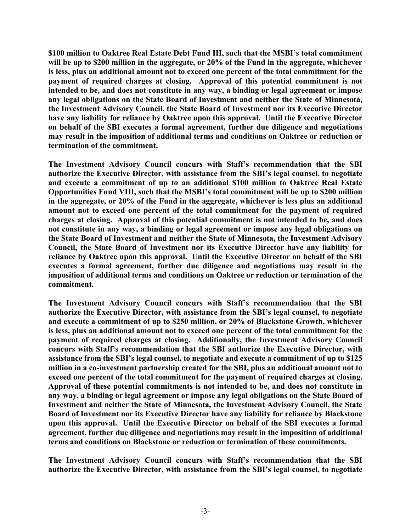**\$100 million to Oaktree Real Estate Debt Fund III, such that the MSBI's total commitment will be up to \$200 million in the aggregate, or 20% of the Fund in the aggregate, whichever is less, plus an additional amount not to exceed one percent of the total commitment for the payment of required charges at closing. Approval of this potential commitment is not intended to be, and does not constitute in any way, a binding or legal agreement or impose any legal obligations on the State Board of Investment and neither the State of Minnesota, the Investment Advisory Council, the State Board of Investment nor its Executive Director have any liability for reliance by Oaktree upon this approval. Until the Executive Director on behalf of the SBI executes a formal agreement, further due diligence and negotiations may result in the imposition of additional terms and conditions on Oaktree or reduction or termination of the commitment.** 

**The Investment Advisory Council concurs with Staff's recommendation that the SBI authorize the Executive Director, with assistance from the SBI's legal counsel, to negotiate and execute a commitment of up to an additional \$100 million to Oaktree Real Estate Opportunities Fund VIII, such that the MSBI's total commitment will be up to \$200 million in the aggregate, or 20% of the Fund in the aggregate, whichever is less plus an additional amount not to exceed one percent of the total commitment for the payment of required charges at closing. Approval of this potential commitment is not intended to be, and does not constitute in any way, a binding or legal agreement or impose any legal obligations on the State Board of Investment and neither the State of Minnesota, the Investment Advisory Council, the State Board of Investment nor its Executive Director have any liability for reliance by Oaktree upon this approval. Until the Executive Director on behalf of the SBI executes a formal agreement, further due diligence and negotiations may result in the imposition of additional terms and conditions on Oaktree or reduction or termination of the commitment.** 

**The Investment Advisory Council concurs with Staff's recommendation that the SBI authorize the Executive Director, with assistance from the SBI's legal counsel, to negotiate and execute a commitment of up to \$250 million, or 20% of Blackstone Growth, whichever is less, plus an additional amount not to exceed one percent of the total commitment for the payment of required charges at closing. Additionally, the Investment Advisory Council concurs with Staff's recommendation that the SBI authorize the Executive Director, with assistance from the SBI's legal counsel, to negotiate and execute a commitment of up to \$125 million in a co-investment partnership created for the SBI, plus an additional amount not to exceed one percent of the total commitment for the payment of required charges at closing. Approval of these potential commitments is not intended to be, and does not constitute in any way, a binding or legal agreement or impose any legal obligations on the State Board of Investment and neither the State of Minnesota, the Investment Advisory Council, the State Board of Investment nor its Executive Director have any liability for reliance by Blackstone upon this approval. Until the Executive Director on behalf of the SBI executes a formal agreement, further due diligence and negotiations may result in the imposition of additional terms and conditions on Blackstone or reduction or termination of these commitments.** 

**The Investment Advisory Council concurs with Staff's recommendation that the SBI authorize the Executive Director, with assistance from the SBI's legal counsel, to negotiate**